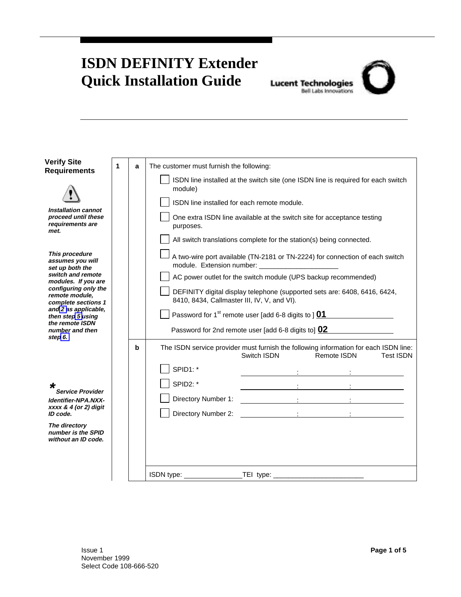## <span id="page-0-0"></span>**ISDN DEFINITY Extender Quick Installation Guide**

## **Lucent Technologies**<br>Bell Labs Innovations

| <b>Verify Site</b><br><b>Requirements</b>                              | 1 | a | The customer must furnish the following:    |                                                                         |                                                                                                                         |
|------------------------------------------------------------------------|---|---|---------------------------------------------|-------------------------------------------------------------------------|-------------------------------------------------------------------------------------------------------------------------|
|                                                                        |   |   | module)                                     |                                                                         | ISDN line installed at the switch site (one ISDN line is required for each switch                                       |
|                                                                        |   |   | ISDN line installed for each remote module. |                                                                         |                                                                                                                         |
| Installation cannot<br>proceed until these<br>requirements are<br>met. |   |   | purposes.                                   | One extra ISDN line available at the switch site for acceptance testing |                                                                                                                         |
|                                                                        |   |   |                                             | All switch translations complete for the station(s) being connected.    |                                                                                                                         |
| This procedure<br>assumes you will<br>set up both the                  |   |   |                                             |                                                                         | A two-wire port available (TN-2181 or TN-2224) for connection of each switch                                            |
| switch and remote<br>modules. If you are                               |   |   |                                             | AC power outlet for the switch module (UPS backup recommended)          |                                                                                                                         |
| configuring only the<br>remote module.<br>complete sections 1          |   |   | 8410, 8434, Callmaster III, IV, V, and VI). |                                                                         | DEFINITY digital display telephone (supported sets are: 6408, 6416, 6424,                                               |
| and 2 as applicable,<br>then step 5 using                              |   |   |                                             | Password for 1 <sup>st</sup> remote user [add 6-8 digits to ] $01$      |                                                                                                                         |
| the remote ISDN<br>number and then<br>step 6.                          |   |   |                                             | Password for 2nd remote user [add 6-8 digits to] 02                     |                                                                                                                         |
|                                                                        |   | b |                                             | Switch ISDN                                                             | The ISDN service provider must furnish the following information for each ISDN line:<br>Remote ISDN<br><b>Test ISDN</b> |
|                                                                        |   |   | SPID1:*                                     |                                                                         |                                                                                                                         |
| <b>Service Provider</b><br>Identifier-NPA.NXX-                         |   |   | <b>SPID2: *</b>                             |                                                                         |                                                                                                                         |
|                                                                        |   |   |                                             |                                                                         |                                                                                                                         |
| xxxx & 4 (or 2) digit<br>ID code.                                      |   |   |                                             |                                                                         |                                                                                                                         |
| The directory<br>number is the SPID<br>without an ID code.             |   |   |                                             |                                                                         |                                                                                                                         |
|                                                                        |   |   |                                             |                                                                         |                                                                                                                         |
|                                                                        |   |   |                                             |                                                                         |                                                                                                                         |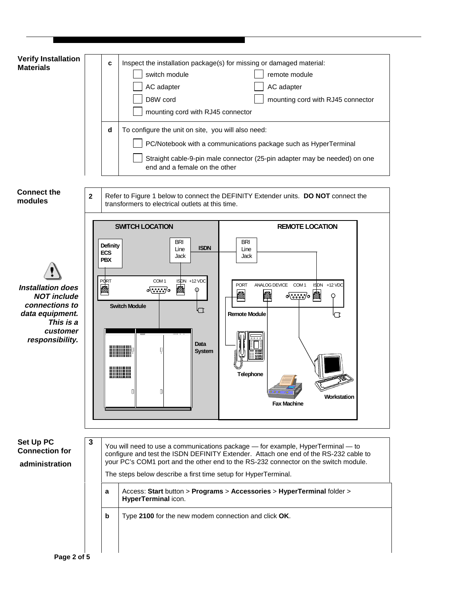<span id="page-1-0"></span>

| <b>Verify Installation</b><br><b>Materials</b>                                                                                  |                                                                                                                                                                                                                                                                                                                                       | c<br>Inspect the installation package(s) for missing or damaged material:<br>switch module<br>remote module<br>AC adapter<br>AC adapter<br>D8W cord<br>mounting cord with RJ45 connector<br>mounting cord with RJ45 connector<br>d<br>To configure the unit on site, you will also need:<br>PC/Notebook with a communications package such as HyperTerminal<br>Straight cable-9-pin male connector (25-pin adapter may be needed) on one<br>end and a female on the other |
|---------------------------------------------------------------------------------------------------------------------------------|---------------------------------------------------------------------------------------------------------------------------------------------------------------------------------------------------------------------------------------------------------------------------------------------------------------------------------------|---------------------------------------------------------------------------------------------------------------------------------------------------------------------------------------------------------------------------------------------------------------------------------------------------------------------------------------------------------------------------------------------------------------------------------------------------------------------------|
| <b>Connect the</b><br>modules                                                                                                   | $\mathbf 2$                                                                                                                                                                                                                                                                                                                           | Refer to Figure 1 below to connect the DEFINITY Extender units. DO NOT connect the<br>transformers to electrical outlets at this time.                                                                                                                                                                                                                                                                                                                                    |
| <b>Installation does</b><br><b>NOT include</b><br>connections to<br>data equipment.<br>This is a<br>customer<br>responsibility. | <b>ECS</b><br><b>PBX</b><br>PO RT<br>困                                                                                                                                                                                                                                                                                                | <b>SWITCH LOCATION</b><br><b>REMOTE LOCATION</b><br><b>BRI</b><br>BRI<br>Definity<br><b>ISDN</b><br>Line<br>Line<br>Jack<br>Jack<br>ISDN +12 VDC<br>COM <sub>1</sub><br>ANALOG DEVICE COM 1<br>ISDN +12 VDC<br><b>PORT</b><br>ľÌ<br>$\sqrt{88880}$ o<br>⊕<br>陌<br>Ñ<br>$\circ$ ೀಾಂ $\circ$ ⊠<br>Q<br><b>Switch Module</b><br><b>Remote Module</b><br><b>Data</b><br><b>System</b><br><b>Telephone</b><br>0<br>П<br>Workstation<br><b>Fax Machine</b>                      |
| Set Up PC<br><b>Connection for</b><br>administration                                                                            | 3<br>You will need to use a communications package - for example, HyperTerminal - to<br>configure and test the ISDN DEFINITY Extender. Attach one end of the RS-232 cable to<br>your PC's COM1 port and the other end to the RS-232 connector on the switch module.<br>The steps below describe a first time setup for HyperTerminal. |                                                                                                                                                                                                                                                                                                                                                                                                                                                                           |
|                                                                                                                                 | a<br>b                                                                                                                                                                                                                                                                                                                                | Access: Start button > Programs > Accessories > HyperTerminal folder ><br>HyperTerminal icon.<br>Type 2100 for the new modem connection and click OK.                                                                                                                                                                                                                                                                                                                     |
| Page 2 of 5                                                                                                                     |                                                                                                                                                                                                                                                                                                                                       |                                                                                                                                                                                                                                                                                                                                                                                                                                                                           |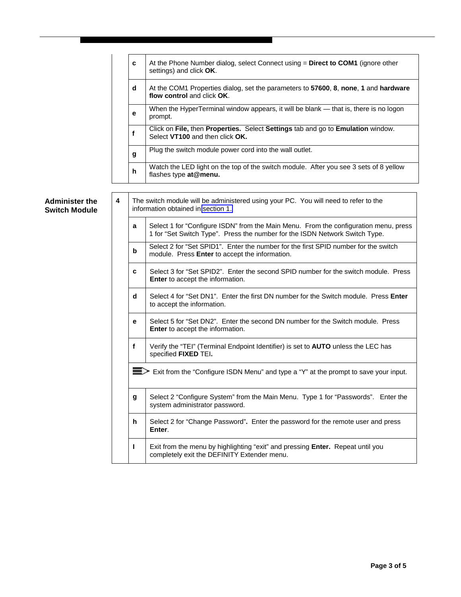|                                               |   | c                                                                                                                         | At the Phone Number dialog, select Connect using = Direct to COM1 (ignore other<br>settings) and click OK.                                                          |
|-----------------------------------------------|---|---------------------------------------------------------------------------------------------------------------------------|---------------------------------------------------------------------------------------------------------------------------------------------------------------------|
|                                               |   | d                                                                                                                         | At the COM1 Properties dialog, set the parameters to 57600, 8, none, 1 and hardware<br>flow control and click OK.                                                   |
|                                               |   | е                                                                                                                         | When the HyperTerminal window appears, it will be blank — that is, there is no logon<br>prompt.                                                                     |
|                                               |   | f                                                                                                                         | Click on File, then Properties. Select Settings tab and go to Emulation window.<br>Select VT100 and then click OK.                                                  |
|                                               |   | g                                                                                                                         | Plug the switch module power cord into the wall outlet.                                                                                                             |
|                                               |   | h                                                                                                                         | Watch the LED light on the top of the switch module. After you see 3 sets of 8 yellow<br>flashes type at@menu.                                                      |
| <b>Administer the</b><br><b>Switch Module</b> | 4 | The switch module will be administered using your PC. You will need to refer to the<br>information obtained in section 1. |                                                                                                                                                                     |
|                                               |   | a                                                                                                                         | Select 1 for "Configure ISDN" from the Main Menu. From the configuration menu, press<br>1 for "Set Switch Type". Press the number for the ISDN Network Switch Type. |
|                                               |   | b                                                                                                                         | Select 2 for "Set SPID1". Enter the number for the first SPID number for the switch<br>module. Press Enter to accept the information.                               |
|                                               |   | c                                                                                                                         | Select 3 for "Set SPID2". Enter the second SPID number for the switch module. Press<br>Enter to accept the information.                                             |
|                                               |   | d                                                                                                                         | Select 4 for "Set DN1". Enter the first DN number for the Switch module. Press <b>Enter</b><br>to accept the information.                                           |
|                                               |   | е                                                                                                                         | Select 5 for "Set DN2". Enter the second DN number for the Switch module. Press<br>Enter to accept the information.                                                 |
|                                               |   | $\mathbf f$                                                                                                               | Verify the "TEI" (Terminal Endpoint Identifier) is set to AUTO unless the LEC has<br>specified FIXED TEI.                                                           |
|                                               |   |                                                                                                                           | ■EXI from the "Configure ISDN Menu" and type a "Y" at the prompt to save your input.                                                                                |
|                                               |   | g                                                                                                                         | Select 2 "Configure System" from the Main Menu. Type 1 for "Passwords". Enter the<br>system administrator password.                                                 |
|                                               |   | h                                                                                                                         | Select 2 for "Change Password". Enter the password for the remote user and press<br>Enter.                                                                          |
|                                               |   | L                                                                                                                         | Exit from the menu by highlighting "exit" and pressing Enter. Repeat until you<br>completely exit the DEFINITY Extender menu.                                       |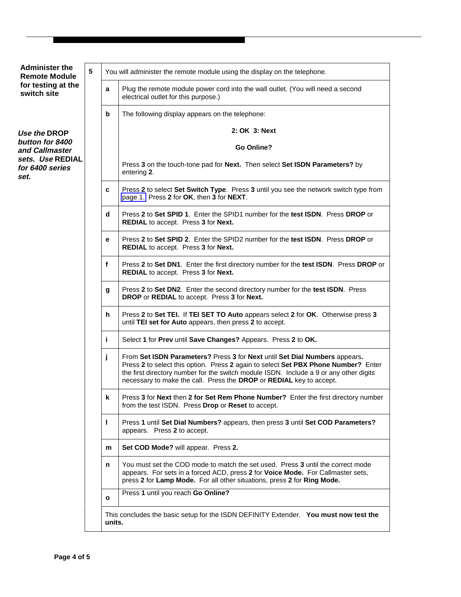<span id="page-3-0"></span>

| <b>Administer the</b><br><b>Remote Module</b><br>for testing at the<br>switch site | 5 |              | You will administer the remote module using the display on the telephone.                                                                                                                                                                                                                                                         |  |  |
|------------------------------------------------------------------------------------|---|--------------|-----------------------------------------------------------------------------------------------------------------------------------------------------------------------------------------------------------------------------------------------------------------------------------------------------------------------------------|--|--|
|                                                                                    |   | a            | Plug the remote module power cord into the wall outlet. (You will need a second<br>electrical outlet for this purpose.)                                                                                                                                                                                                           |  |  |
|                                                                                    |   | b            | The following display appears on the telephone:                                                                                                                                                                                                                                                                                   |  |  |
| Use the DROP                                                                       |   |              | 2: OK 3: Next                                                                                                                                                                                                                                                                                                                     |  |  |
| button for 8400<br>and Callmaster<br>sets. Use REDIAL<br>for 6400 series<br>set.   |   |              | Go Online?                                                                                                                                                                                                                                                                                                                        |  |  |
|                                                                                    |   |              | Press 3 on the touch-tone pad for Next. Then select Set ISDN Parameters? by<br>entering 2.                                                                                                                                                                                                                                        |  |  |
|                                                                                    |   | c            | Press 2 to select Set Switch Type. Press 3 until you see the network switch type from<br>page 1. Press 2 for OK, then 3 for NEXT.                                                                                                                                                                                                 |  |  |
|                                                                                    |   | d            | Press 2 to Set SPID 1. Enter the SPID1 number for the test ISDN. Press DROP or<br>REDIAL to accept. Press 3 for Next.                                                                                                                                                                                                             |  |  |
|                                                                                    |   | е            | Press 2 to Set SPID 2. Enter the SPID2 number for the test ISDN. Press DROP or<br>REDIAL to accept. Press 3 for Next.                                                                                                                                                                                                             |  |  |
|                                                                                    |   | $\mathbf f$  | Press 2 to Set DN1. Enter the first directory number for the test ISDN. Press DROP or<br>REDIAL to accept. Press 3 for Next.                                                                                                                                                                                                      |  |  |
|                                                                                    |   | g            | Press 2 to Set DN2. Enter the second directory number for the test ISDN. Press<br>DROP or REDIAL to accept. Press 3 for Next.                                                                                                                                                                                                     |  |  |
|                                                                                    |   | h.           | Press 2 to Set TEI. If TEI SET TO Auto appears select 2 for OK. Otherwise press 3<br>until TEI set for Auto appears, then press 2 to accept.                                                                                                                                                                                      |  |  |
|                                                                                    |   | i.           | Select 1 for Prev until Save Changes? Appears. Press 2 to OK.                                                                                                                                                                                                                                                                     |  |  |
|                                                                                    |   | j            | From Set ISDN Parameters? Press 3 for Next until Set Dial Numbers appears.<br>Press 2 to select this option. Press 2 again to select Set PBX Phone Number? Enter<br>the first directory number for the switch module ISDN. Include a 9 or any other digits<br>necessary to make the call. Press the DROP or REDIAL key to accept. |  |  |
|                                                                                    |   | k            | Press 3 for Next then 2 for Set Rem Phone Number? Enter the first directory number<br>from the test ISDN. Press Drop or Reset to accept.                                                                                                                                                                                          |  |  |
|                                                                                    |   | L            | Press 1 until Set Dial Numbers? appears, then press 3 until Set COD Parameters?<br>appears. Press 2 to accept.                                                                                                                                                                                                                    |  |  |
|                                                                                    |   | m            | Set COD Mode? will appear. Press 2.                                                                                                                                                                                                                                                                                               |  |  |
|                                                                                    |   | n            | You must set the COD mode to match the set used. Press 3 until the correct mode<br>appears. For sets in a forced ACD, press 2 for Voice Mode. For Callmaster sets,<br>press 2 for Lamp Mode. For all other situations, press 2 for Ring Mode.                                                                                     |  |  |
|                                                                                    |   | $\mathbf{o}$ | Press 1 until you reach Go Online?                                                                                                                                                                                                                                                                                                |  |  |
|                                                                                    |   | units.       | This concludes the basic setup for the ISDN DEFINITY Extender. You must now test the                                                                                                                                                                                                                                              |  |  |